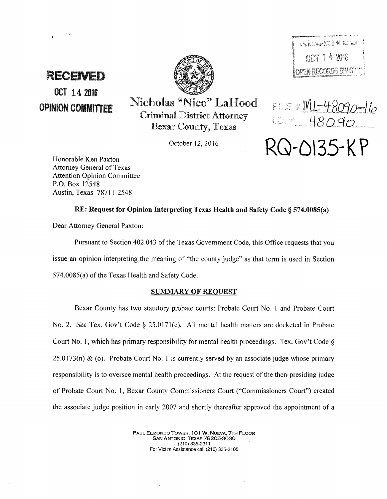

# OCT 14 2016

 $\sqrt{\sum_{i=1}^n\sum_{j=1}^n\sum_{j=1}^n\sum_{j=1}^n\sum_{j=1}^n\sum_{j=1}^n\sum_{j=1}^n\sum_{j=1}^n\sum_{j=1}^n\sum_{j=1}^n\sum_{j=1}^n\sum_{j=1}^n\sum_{j=1}^n\sum_{j=1}^n\sum_{j=1}^n\sum_{j=1}^n\sum_{j=1}^n\sum_{j=1}^n\sum_{j=1}^n\sum_{j=1}^n\sum_{j=1}^n\sum_{j=1}^n\sum_{j=1}^n\sum_{j=1}^n\sum$  $\frac{1}{2}$  007 1 4 2016  $\lceil$   $\chi$   $\chi^2$   $\chi^2$  is a consider the sum  $n$  :  $\lceil$ 

 $\mathcal{D}$  . We can consider the contract of the contract of the contract of the Contract of the contract of the contract of the contract of the contract of the contract of the contract of the contract of the contract of th

OPINION COMMITTEE Nicholas "Nico" LaHood Criminal District Attorney Bexar County, Texas

October 12, 2016

 $F = 12$  ML-48090-16 10 x 48090 **RQ-0\35-KP** 

Honorable Ken Paxton Attorney General of Texas Attention Opinion Committee P.O. Box 12548 Austin, Texas 78711-2548

RE: Request for Opinion Interpreting Texas Health and Safety Code§ 574.0085(a)

Dear Attorney General Paxton:

Pursuant to Section 402.043 of the Texas Government Code, this Office requests that you issue an opinion interpreting the meaning of ''the county judge'' as that term is used in Section 574.0085(a) of the Texas Health and Safety Code.

## SUMMARY OF REQUEST

Bexar County has two statutory probate courts: Probate Court No. I and Probate Court No. 2. *See* Tex. Gov't Code§ 25.017l(c). All mental health matters are docketed in Probate Court No. I, which has primary responsibility for mental health proceedings. Tex. Gov't Code § 25.0173(n) & (o). Probate Court No. 1 is currently served by an associate judge whose primary responsibility is to oversee mental health proceedings. At the request of the then-presiding judge of Probate Court No. 1, Bexar County Commissioners Court (''Commissioners Court") created the associate judge position in early 2007 and shortly thereafter approved the appointment of a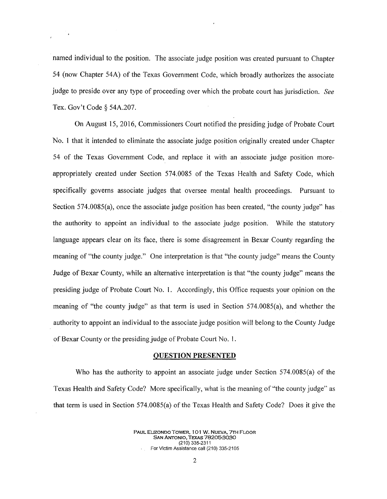named individual to the position. The associate judge position was created pursuant to Chapter 54 (now Chapter 54A) of the Texas Government Code, which broadly authorizes the associate judge to preside over any type of proceeding over which the probate court has jurisdiction. *See*  Tex. Gov't Code§ 54A.207.

On August 15, 2016, Commissioners Court notified the presiding judge of Probate Court No. 1 that it intended to eliminate the associate judge position originally created under Chapter 54 of the Texas Government Code, and replace it with an associate judge position moreappropriately created under Section 574.0085 of the Texas Health and Safety Code, which specifically governs associate judges that oversee mental health proceedings. Pursuant to Section 574.0085(a), once the associate judge position has been created, "the county judge'' has the authority to appoint an individual to the associate judge position. While the statutory language appears clear on its face, there is some disagreement in Bexar County regarding the meaning of "the county judge." One interpretation is that "the county judge" means the County Judge of Bexar County, while an alternative interpretation is that "the county judge" means the presiding judge of Probate Court No. 1. Accordingly, this Office requests your opinion on the meaning of "the county judge" as that term is used in Section 574.0085(a), and whether the authority to appoint an individual to the associate judge position will belong to the County Judge of Bexar County or the presiding judge of Probate Court No. I.

#### **QUESTION PRESENTED**

Who has the authority to appoint an associate judge under Section 574.0085(a) of the Texas Health and Safety Code? More specifically, what is the meaning of "the county judge'' as that term is used in Section 574.0085(a) of the Texas Health and Safety Code? Does it give the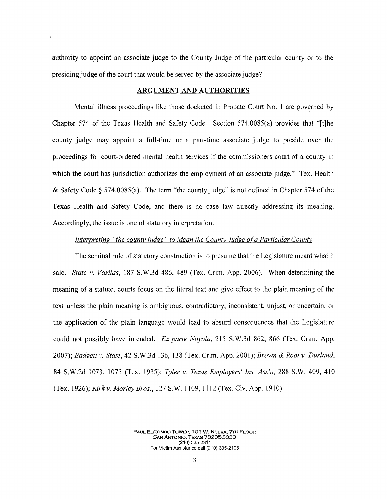authority to appoint an associate judge to the County Judge of the particular county or to the presiding judge of the court that would be served by the associate judge?

#### **ARGUMENT AND AUTHORITIES**

Mental illness proceedings like those docketed in Probate Court No. I are governed by Chapter 574 of the Texas Health and Safety Code. Section 574.0085(a) provides that ''[t]he county judge may appoint a full-time or a part-time associate judge to preside over the proceedings for court-ordered mental health services if the commissioners court of a county in which the court has jurisdiction authorizes the employment of an associate judge." Tex. Health & Safety Code  $\S 574.0085(a)$ . The term "the county judge" is not defined in Chapter 574 of the Texas Health and Safety Code, and there is no case law directly addressing its meaning. Accordingly, the issue is one of statutory interpretation.

#### *Interpreting "the county judge" to Mean the County Judge ofa Particular County*

The seminal rule of statutory construction is to presume that the Legislature meant what it said. *State v. Vasi/as,* 187 S.W.3d 486, 489 (Tex. Crim. App. 2006). When determining the meaning of a statute, courts focus on the literal text and give effect to the plain meaning of the text unless the plain meaning is ambiguous, contradictory, inconsistent, unjust, or uncertain, or the application of the plain language would lead to absurd consequences that the Legislature could not possibly have intended. *Ex parte Noyola,* 215 S. W .3d 862, 866 (Tex. Crim. App. 2007); *Badgett v. State,* 42 S.W.3d 136, 138 (Tex. Crim. App. 200 I); *Brown* & *Root v. Durland,*  84 S.W.2d 1073, 1075 (Tex. 1935); *Tyler v. Texas Employers' Ins. Ass'n,* 288 S.W. 409, 410 *(Tex.1926);Kirkv.MorleyBros.,* 127S.W.1109, 1112(Tex.Civ.App.1910).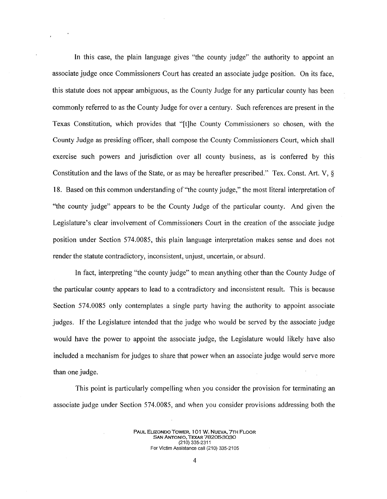In this case, the plain language gives "the county judge'' the authority to appoint an associate judge once Commissioners Court has created an associate judge position. On its face, this statute does not appear ambiguous, as the County Judge for any particular county has been commonly referred to as the County Judge for over a century. Such references are present in the Texas Constitution, which provides that ''[t]he County Commissioners so chosen, with the County Judge as presiding officer, shall compose the County Commissioners Court, which shall exercise such powers and jurisdiction over all county business, as is conferred by this Constitution and the laws of the State, or as may be hereafter prescribed." Tex. Const. Art. V,  $\delta$ 18. Based on this common understanding of "the county judge," the most literal interpretation of "the county judge" appears to be the County Judge of the particular county. And given the Legislature's clear involvement of Commissioners Court in the creation of the associate judge position under Section 574.0085, this plain language interpretation makes sense and does not render the statute contradictory, inconsistent, unjust, uncertain, or absurd.

In fact, interpreting "the county judge" to mean anything other than the County Judge of the particular county appears to lead to a contradictory and inconsistent result. This is because Section 574.0085 only contemplates a single party having the authority to appoint associate judges. If the Legislature intended that the judge who would be served by the associate judge would have the power to appoint the associate judge, the Legislature would likely have also included a mechanism for judges to share that power when an associate judge would serve more than one judge.

This point is particularly compelling when you consider the provision for terminating an associate judge under Section 574.0085, and when you consider provisions addressing both the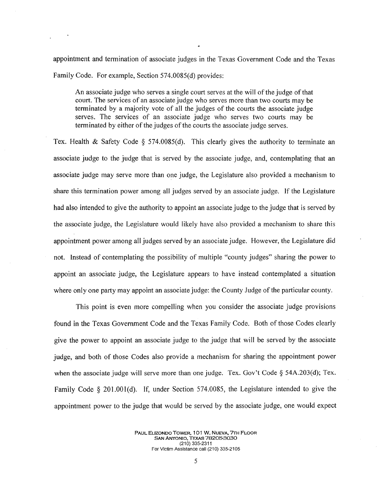appointment and termination of associate judges in the Texas Government Code and the Texas Family Code. For example, Section 574.0085(d) provides:

An associate judge who serves a single court serves at the will of the judge of that court. The services of an associate judge who serves more than two courts may be terminated by a majority vote of all the judges of the courts the associate judge serves. The services of an associate judge who serves two courts may be terminated by either of the judges of the courts the associate judge serves.

Tex. Health & Safety Code  $\S$  574.0085(d). This clearly gives the authority to terminate an associate judge to the judge that is served by the associate judge, and, contemplating that an associate judge may serve more than one judge, the Legislature also provided a mechanism to share this termination power among all judges served by an associate judge. If the Legislature had also intended to give the authority to appoint an associate judge to the judge that is served by the associate judge, the Legislature would likely have also provided a mechanism to share this appointment power among all judges served by an associate judge. However, the Legislature did not. Instead of contemplating the possibility of multiple "county judges" sharing the power to appoint an associate judge, the Legislature appears to have instead contemplated a situation where only one party may appoint an associate judge: the County Judge of the particular county.

This point is even more compelling when you consider the associate judge provisions found in the Texas Government Code and the Texas Family Code. Both of those Codes clearly give the power to appoint an associate judge to the judge that will be served by the associate judge, and both of those Codes also provide a mechanism for sharing the appointment power when the associate judge will serve more than one judge. Tex. Gov't Code § 54A.203(d); Tex. Family Code *§* 201.00l(d). If, under Section 574.0085, the Legislature intended to give the appointment power to the judge that would be served by the associate judge, one would expect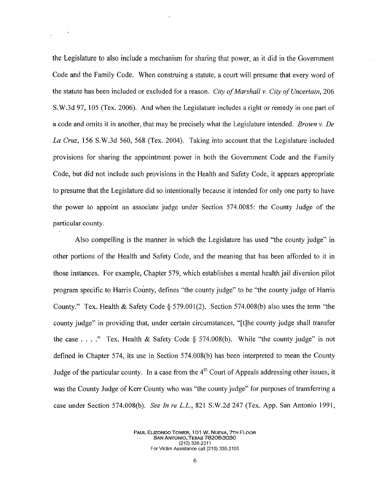the Legislature to also include a mechanism for sharing that power, as it did in the Government Code and the Family Code. When construing a statute, a court will presume that every word of the statute has been included or excluded for a reason. *City of Marshall v. City of Uncertain,* 206 S.W.3d 97, 105 (Tex. 2006). And when the Legislature includes a right or remedy in one part of a code and omits it in another, that may be precisely what the Legislature intended. *Brown v. De La Cruz,* 156 S.W.3d 560, 568 (Tex. 2004). Taking into account that the Legislature included provisions for sharing the appointment power in both the Government Code and the Family Code, but did not include such provisions in the Health and Safety Code, it appears appropriate to presume that the Legislature did so intentionally because it intended for only one party to have the power to appoint an associate judge under Section 574.0085: the County Judge of the particular county.

Also compelling is the manner in which the Legislature has used "the county judge" in other portions of the Health and Safety Code, and the meaning that has been afforded to it in those instances. For example, Chapter 579, which establishes a mental health jail diversion pilot program specific to Harris County, defines ''the county judge'' to be "the county judge of Harris County." Tex. Health & Safety Code  $\S 579.001(2)$ . Section 574.008(b) also uses the term "the county judge" in providing that, under certain circumstances, "[t]he county judge shall transfer the case ...." Tex. Health & Safety Code § 574.008(b). While "the county judge" is not defined in Chapter 574, its use in Section 574.008(b) has been interpreted to mean the County Judge of the particular county. In a case from the  $4<sup>th</sup>$  Court of Appeals addressing other issues, it was the County Judge of Kerr County who was "the county judge" for purposes of transferring a case under Section 574.008(b). *See In re L.L.,* 821 S.W.2d 247 (Tex. App. San Antonio 1991,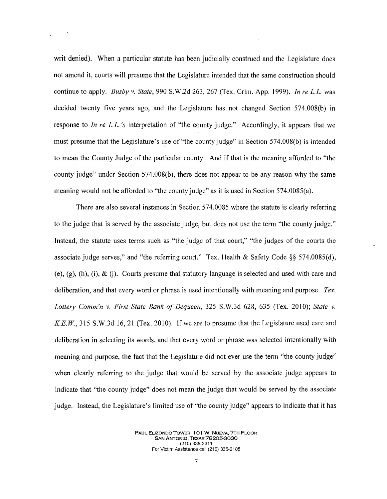writ denied). When a particular statute has been judicially construed and the Legislature does not amend it, courts will presume that the Legislature intended that the same construction should continue to apply. *Busby v. State,* 990 S.W.2d 263, 267 (Tex. Crim. App. 1999). *In re L.L.* was decided twenty five years ago, and the Legislature has not changed Section 574.008(b) in response to *In re L.L.'s* interpretation of "the county judge." Accordingly, it appears that we must presume that the Legislature's use of "the county judge'' in Section 574.008(b) is intended to mean the County Judge of the particular county. And if that is the meaning afforded to "the county judge" under Section 574.008(b), there does not appear to be any reason why the same meaning would not be afforded to "the county judge" as it is used in Section 574.0085(a).

There are also several instances in Section 574.0085 where the statute is clearly referring to the judge that is served by the associate judge, but does not use the term ''the county judge.'' Instead, the statute uses terms such as "the judge of that court," ''the judges of the courts the associate judge serves," and "the referring court.'' Tex. Health & Safety Code §§ 574.0085(d), (e),  $(g)$ ,  $(h)$ ,  $(i)$ ,  $\&$   $(i)$ . Courts presume that statutory language is selected and used with care and deliberation, and that every word or phrase is used intentionally with meaning and purpose. *Tex. Lottery Comm'n v. First State Bank of Dequeen,* 325 S.W.3d 628, 635 (Tex. 2010); *State v. K.E.W.*, 315 S.W.3d 16, 21 (Tex. 2010). If we are to presume that the Legislature used care and deliberation in selecting its words, and that every word or phrase was selected intentionally with meaning and purpose, the fact that the Legislature did not ever use the term "the county judge'' when clearly referring to the judge that would be served by the associate judge appears to indicate that "the county judge" does not mean the judge that would be served by the associate judge. Instead, the Legislature's limited use of ''the county judge" appears to indicate that it has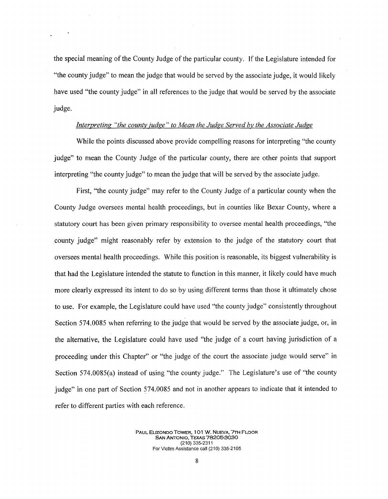the special meaning of the County Judge of the particular county. If the Legislature intended for "the county judge" to mean the judge that would be served by the associate judge, it would likely have used "the county judge" in all references to the judge that would be served by the associate judge.

### *Interpreting "the county judge" to Mean the Judge Served by the Associate Judge*

While the points discussed above provide compelling reasons for interpreting "the county judge" to mean the County Judge of the particular county, there are other points that support interpreting "the county judge" to mean the judge that will be served by the associate judge.

First, "the county judge" may refer to the County Judge of a particular county when the County Judge oversees mental health proceedings, but in counties like Bexar County, where a statutory court has been given primary responsibility to oversee mental health proceedings, "the county judge" might reasonably refer by extension to the judge of the statutory court that oversees mental health proceedings. While this position is reasonable, its biggest vulnerability is that had the Legislature intended the statute to function in this manner, it likely could have much more clearly expressed its intent to do so by using different terms than those it ultimately chose to use. For example, the Legislature could have used "the county judge" consistently throughout Section 574.0085 when referring to the judge that would be served by the associate judge, or, in the alternative, the Legislature could have used "the judge of a court having jurisdiction of a proceeding under this Chapter'' or "the judge of the court the associate judge would serve'' in Section 574.0085(a) instead of using "the county judge." The Legislature's use of "the county judge" in one part of Section 574.0085 and not in another appears to indicate that it intended to refer to different parties with each reference.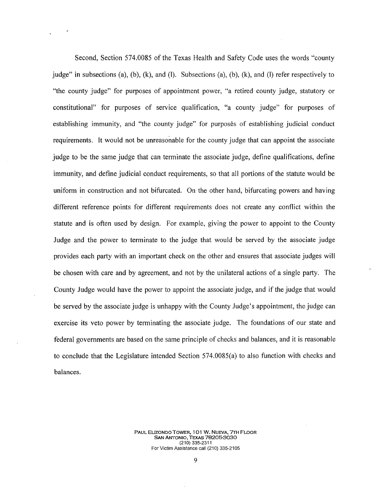Second, Section 574.0085 of the Texas Health and Safety Code uses the words ''county judge" in subsections (a), (b), (k), and (l). Subsections (a), (b), (k), and (l) refer respectively to "the county judge" for purposes of appointment power, "a retired county judge, statutory or constitutional" for purposes of service qualification, "a county judge" for purposes of establishing immunity, and "the county judge" for purposes of establishing judicial conduct requirements. It would not be unreasonable for the county judge that can appoint the associate judge to be the same judge that can terminate the associate judge, define qualifications, define immunity, and define judicial conduct requirements, so that all portions of the statute would be uniform in construction and not bifurcated. On the other hand, bifurcating powers and having different reference points for different requirements does not create any conflict within the statute and is often used by design. For example, giving the power to appoint to the County Judge and the power to terminate to the judge that would be served by the associate judge provides each party with an important check on the other and ensures that associate judges will be chosen with care and by agreement, and not by the unilateral actions of a single party. The County Judge would have the power to appoint the associate judge, and if the judge that would be served by the associate judge is unhappy with the County Judge's appointment, the judge can exercise its veto power by terminating the associate judge. The foundations of our state and federal governments are based on the same principle of checks and balances, and it is reasonable to conclude that the Legislature intended Section 574.0085(a) to also function with checks and balances.